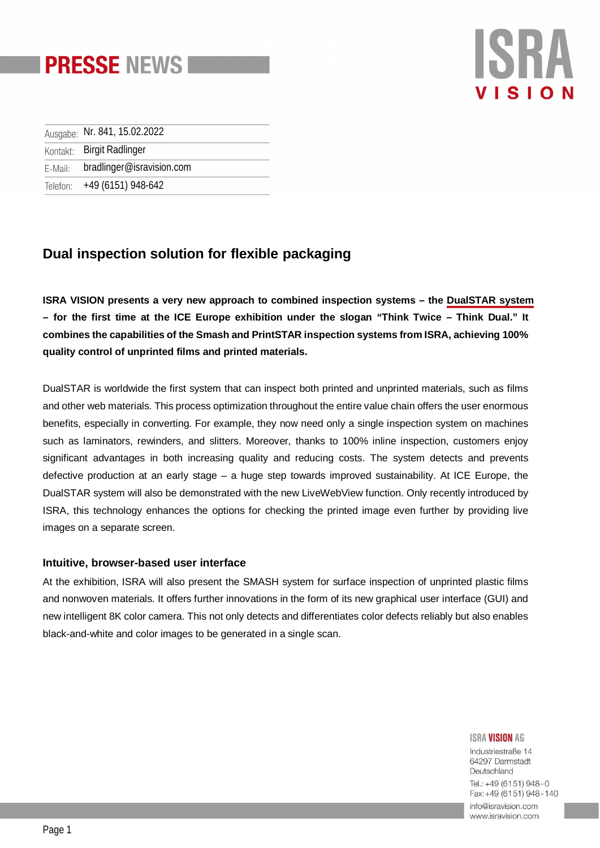

# SB VISIO

|         | Ausgabe: Nr. 841, 15.02.2022 |
|---------|------------------------------|
|         | Kontakt: Birgit Radlinger    |
| E-Mail: | bradlinger@isravision.com    |
|         | Telefon: +49 (6151) 948-642  |

# **Dual inspection solution for flexible packaging**

**ISRA VISION presents a very new approach to combined inspection systems – the [DualSTAR system](https://www.isravision.com/en/landing-pages/print/dualstar-surface-inspection-of-printed-and-unprinted-web-material/?utm_source=Press-Release&utm_medium=website&utm_campaign=BU_SPI_ICE+&utm_id=+&utm_content) – for the first time at the ICE Europe exhibition under the slogan "Think Twice – Think Dual." It combines the capabilities of the Smash and PrintSTAR inspection systems from ISRA, achieving 100% quality control of unprinted films and printed materials.**

DualSTAR is worldwide the first system that can inspect both printed and unprinted materials, such as films and other web materials. This process optimization throughout the entire value chain offers the user enormous benefits, especially in converting. For example, they now need only a single inspection system on machines such as laminators, rewinders, and slitters. Moreover, thanks to 100% inline inspection, customers enjoy significant advantages in both increasing quality and reducing costs. The system detects and prevents defective production at an early stage – a huge step towards improved sustainability. At ICE Europe, the DualSTAR system will also be demonstrated with the new LiveWebView function. Only recently introduced by ISRA, this technology enhances the options for checking the printed image even further by providing live images on a separate screen.

## **Intuitive, browser-based user interface**

At the exhibition, ISRA will also present the SMASH system for surface inspection of unprinted plastic films and nonwoven materials. It offers further innovations in the form of its new graphical user interface (GUI) and new intelligent 8K color camera. This not only detects and differentiates color defects reliably but also enables black-and-white and color images to be generated in a single scan.

#### **ISRA VISION AG**

Industriestraße 14 64297 Darmstadt Deutschland Tel.: +49 (6151) 948-0 Fax: +49 (6151) 948 - 140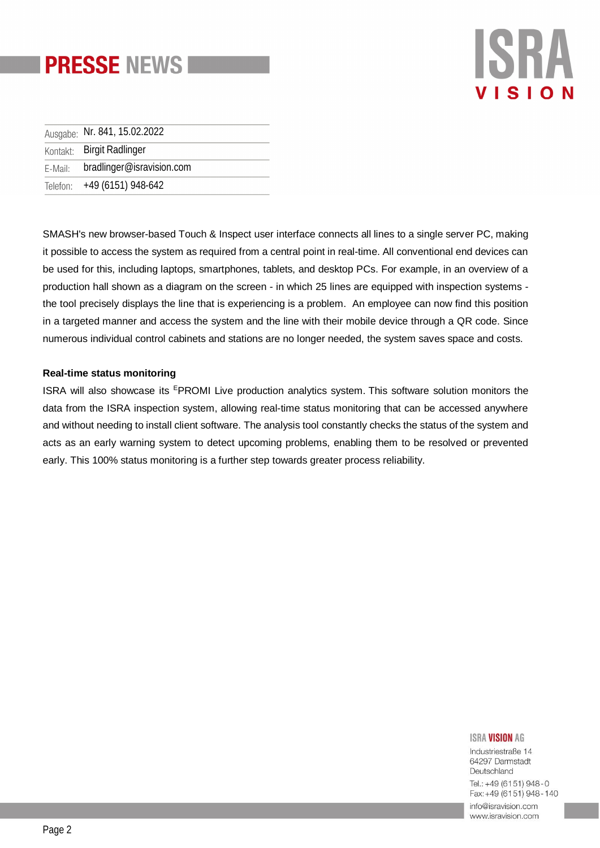

# **ISRA VISIO**

| Ausgabe: Nr. 841, 15.02.2022      |
|-----------------------------------|
| Kontakt: Birgit Radlinger         |
| E-Mail: bradlinger@isravision.com |
| Telefon: +49 (6151) 948-642       |

SMASH's new browser-based Touch & Inspect user interface connects all lines to a single server PC, making it possible to access the system as required from a central point in real-time. All conventional end devices can be used for this, including laptops, smartphones, tablets, and desktop PCs. For example, in an overview of a production hall shown as a diagram on the screen - in which 25 lines are equipped with inspection systems the tool precisely displays the line that is experiencing is a problem. An employee can now find this position in a targeted manner and access the system and the line with their mobile device through a QR code. Since numerous individual control cabinets and stations are no longer needed, the system saves space and costs.

### **Real-time status monitoring**

ISRA will also showcase its <sup>E</sup>PROMI Live production analytics system. This software solution monitors the data from the ISRA inspection system, allowing real-time status monitoring that can be accessed anywhere and without needing to install client software. The analysis tool constantly checks the status of the system and acts as an early warning system to detect upcoming problems, enabling them to be resolved or prevented early. This 100% status monitoring is a further step towards greater process reliability.

#### **ISRA VISION AG**

Industriestraße 14 64297 Darmstadt Deutschland Tel.: +49 (6151) 948-0 Fax: +49 (6151) 948 - 140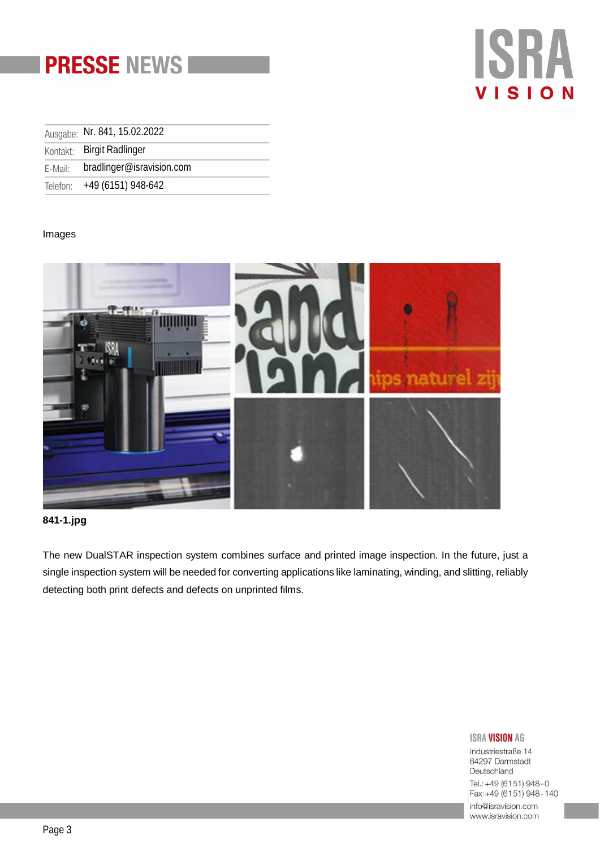



| Ausgabe: Nr. 841, 15.02.2022      |
|-----------------------------------|
| Kontakt: Birgit Radlinger         |
| E-Mail: bradlinger@isravision.com |
| Telefon: +49 (6151) 948-642       |

### Images



## **841-1.jpg**

The new DualSTAR inspection system combines surface and printed image inspection. In the future, just a single inspection system will be needed for converting applications like laminating, winding, and slitting, reliably detecting both print defects and defects on unprinted films.

### **ISRA VISION AG**

Industriestraße 14 64297 Darmstadt Deutschland Tel.: +49 (6151) 948-0 Fax: +49 (6151) 948 - 140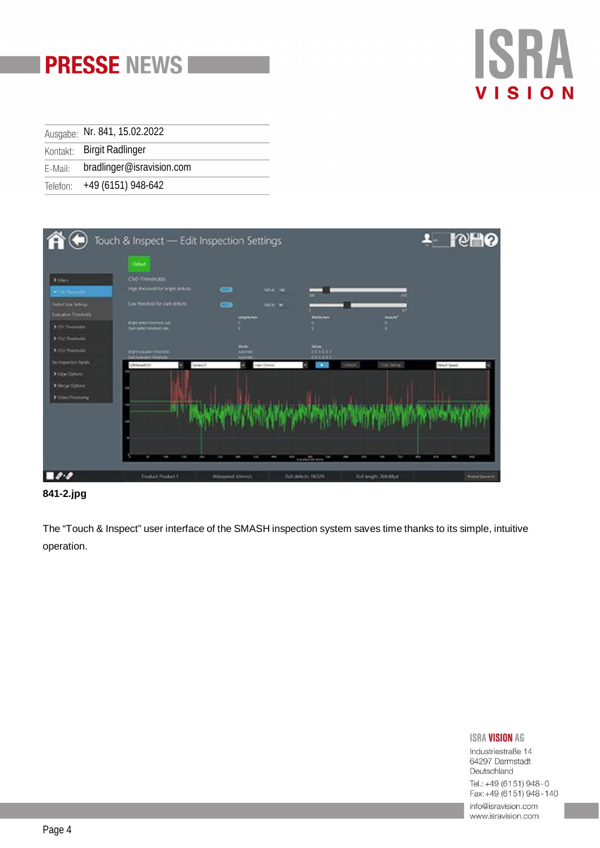

| Ausgabe: Nr. 841, 15.02.2022      |
|-----------------------------------|
| Kontakt: Birgit Radlinger         |
| E-Mail: bradlinger@isravision.com |
| Telefon: +49 (6151) 948-642       |



# **841-2.jpg**

The "Touch & Inspect" user interface of the SMASH inspection system saves time thanks to its simple, intuitive operation.

### **ISRA VISION AG**

Industriestraße 14 64297 Darmstadt Deutschland Tel.: +49 (6151) 948-0 Fax: +49 (6151) 948 - 140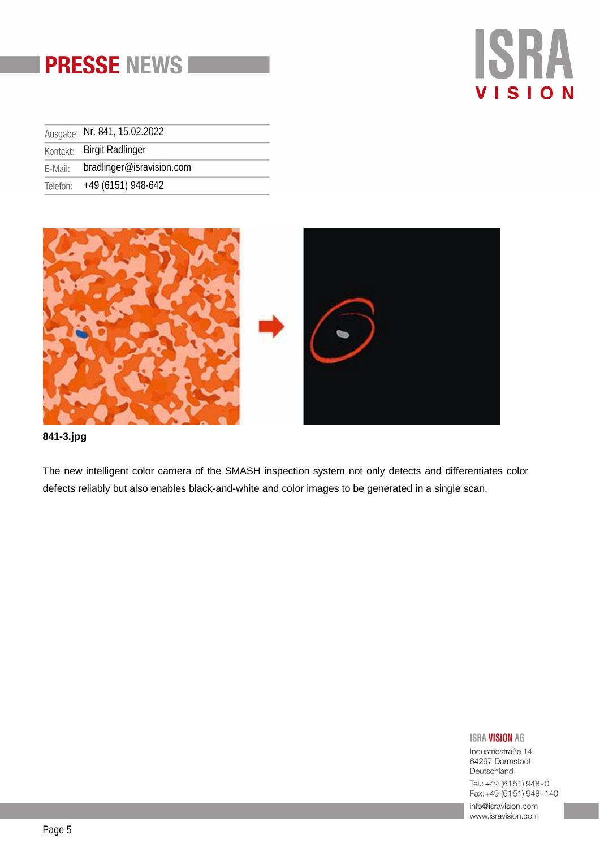# **PRESSE NEWS**

# **ISRA** VISION

|         | Ausgabe: Nr. 841, 15.02.2022 |
|---------|------------------------------|
|         | Kontakt: Birgit Radlinger    |
| E-Mail: | bradlinger@isravision.com    |
|         | Telefon: +49 (6151) 948-642  |



**841-3.jpg**

The new intelligent color camera of the SMASH inspection system not only detects and differentiates color defects reliably but also enables black-and-white and color images to be generated in a single scan.

### **ISRA VISION AG**

Industriestraße 14 64297 Darmstadt Deutschland Tel.: +49 (6151) 948-0 Fax: +49 (6151) 948 - 140